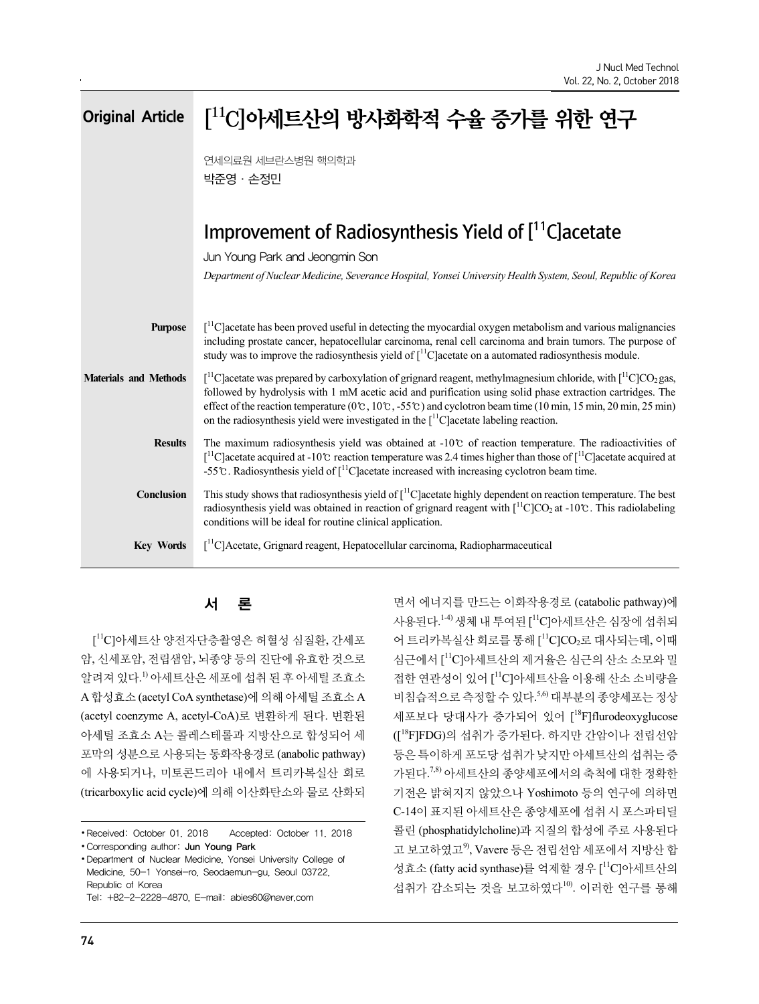| <b>Original Article</b>      | $[$ <sup>11</sup> Clol세트산의 방사화학적 수율 증가를 위한 연구                                                                                                                                                                                                                                                                                                                                                                                                                                                                                                            |  |
|------------------------------|----------------------------------------------------------------------------------------------------------------------------------------------------------------------------------------------------------------------------------------------------------------------------------------------------------------------------------------------------------------------------------------------------------------------------------------------------------------------------------------------------------------------------------------------------------|--|
|                              | 연세의료원 세브란스병원 핵의학과<br>박준영 · 손정민                                                                                                                                                                                                                                                                                                                                                                                                                                                                                                                           |  |
|                              | Improvement of Radiosynthesis Yield of [11C] acetate                                                                                                                                                                                                                                                                                                                                                                                                                                                                                                     |  |
|                              | Jun Young Park and Jeongmin Son<br>Department of Nuclear Medicine, Severance Hospital, Yonsei University Health System, Seoul, Republic of Korea                                                                                                                                                                                                                                                                                                                                                                                                         |  |
| <b>Purpose</b>               | $\lceil$ <sup>11</sup> C] acetate has been proved useful in detecting the myocardial oxygen metabolism and various malignancies<br>including prostate cancer, hepatocellular carcinoma, renal cell carcinoma and brain tumors. The purpose of<br>study was to improve the radiosynthesis yield of $\int_1^1 C$ acetate on a automated radiosynthesis module.                                                                                                                                                                                             |  |
| <b>Materials and Methods</b> | $\int_{0}^{11}$ C acetate was prepared by carboxylation of grignard reagent, methylmagnesium chloride, with $\int_{0}^{11}$ C CO <sub>2</sub> gas,<br>followed by hydrolysis with 1 mM acetic acid and purification using solid phase extraction cartridges. The<br>effect of the reaction temperature ( $0^\circ$ c, $10^\circ$ c, $-55^\circ$ c) and cyclotron beam time ( $10 \text{ min}$ , $15 \text{ min}$ , $20 \text{ min}$ , $25 \text{ min}$ )<br>on the radiosynthesis yield were investigated in the $\int_1^1 C$ acetate labeling reaction. |  |
| <b>Results</b>               | The maximum radiosynthesis yield was obtained at $-10^{\circ}$ of reaction temperature. The radioactivities of<br>$\int_{0}^{11}$ C acetate acquired at -10°C reaction temperature was 2.4 times higher than those of $\int_{0}^{11}$ C acetate acquired at<br>-55°C. Radiosynthesis yield of $\int_1^1 C$ acetate increased with increasing cyclotron beam time.                                                                                                                                                                                        |  |
| Conclusion                   | This study shows that radiosynthesis yield of $\int_1^1 C$ acetate highly dependent on reaction temperature. The best<br>radiosynthesis yield was obtained in reaction of grignard reagent with $\lceil {^{11}C} \rceil CO_2$ at -10°C. This radiolabeling<br>conditions will be ideal for routine clinical application.                                                                                                                                                                                                                                 |  |
| <b>Key Words</b>             | $\int_{0}^{11}$ C]Acetate, Grignard reagent, Hepatocellular carcinoma, Radiopharmaceutical                                                                                                                                                                                                                                                                                                                                                                                                                                                               |  |

[<sup>11</sup>C]아세트산 양전자단층촬영은 허혈성 심질환, 간세포 어 트리카복실산 회로를 통해 [ 암, 신세포암, 전립샘암, 뇌종양 등의 진단에 유효한 것으로 알려져 있다.1) 아세트산은 세포에 섭취 된 후 아세틸 조효소 A 합성효소 (acetyl CoA synthetase)에 의해 아세틸 조효소 A (acetyl coenzyme A, acetyl-CoA)로 변환하게 된다. 변환된 아세틸 조효소 A는 콜레스테롤과 지방산으로 합성되어 세 포막의 성분으로 사용되는 동화작용경로 (anabolic pathway) 에 사용되거나, 미토콘드리아 내에서 트리카복실산 회로 (tricarboxylic acid cycle)에 의해 이산화탄소와 물로 산화되

서 론 ZH 에너지를 만드는 이화작용경로 (catabolic pathway)에 사용된다.<sup>14)</sup> 생체 내 투여된 [<sup>11</sup>C]아세트산은 심장에 섭취되 어 트리카복실산 회로를 통해 [''C]CO<sub>2</sub>로 대사되는데, 이때 심근에서 [ <sup>11</sup>C]아세트산의 제거율은 심근의 산소 소모와 밀 접한 연관성이 있어 [ <sup>11</sup>C]아세트산을 이용해 산소 소비량을 비침습적으로 측정할 수 있다.5,6) 대부분의 종양세포는 정상 세포보다 당대사가 증가되어 있어 [<sup>18</sup>F]flurodeoxyglucose ([<sup>18</sup>F]FDG)의 섭취가 증가된다. 하지만 간암이나 전립선암 등은 특이하게 포도당 섭취가 낮지만 아세트산의 섭취는 증 가된다.7,8) 아세트산의 종양세포에서의 축척에 대한 정확한 기전은 밝혀지지 않았으나 Yoshimoto 등의 연구에 의하면 C-14이 표지된 아세트산은 종양세포에 섭취 시 포스파티딜 콜린 (phosphatidylcholine)과 지질의 합성에 주로 사용된다 고 보고하였고<sup>9</sup>, Vavere 등은 전립선암 세포에서 지방산 합 성효소 (fatty acid synthase)를 억제할 경우 [ <sup>11</sup>C]아세트산의 섭취가 감소되는 것을 보고하였다10). 이러한 연구를 통해

<sup>∙</sup>Received: October 01. 2018 Accepted: October 11. 2018 ∙Corresponding author: Jun Young Park

<sup>∙</sup>Department of Nuclear Medicine, Yonsei University College of Medicine, 50-1 Yonsei-ro, Seodaemun-gu, Seoul 03722, Republic of Korea

Tel: +82-2-2228-4870, E-mail: abies60@naver.com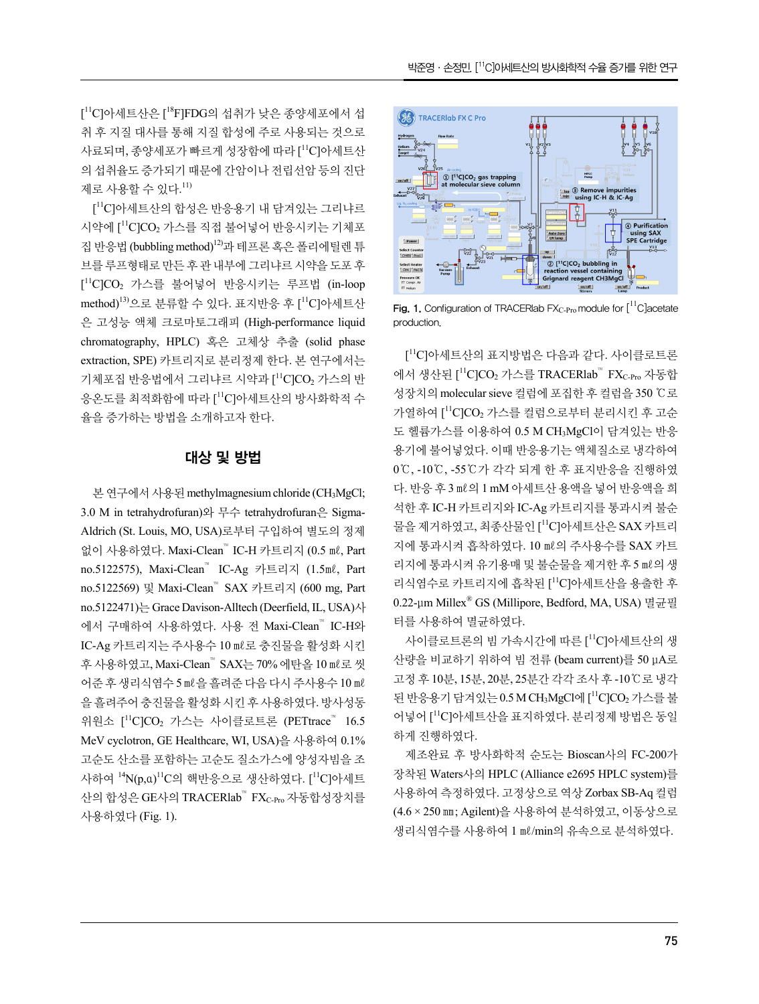[ <sup>11</sup>C]아세트산은 [ <sup>18</sup>F]FDG의 섭취가 낮은 종양세포에서 섭 취 후 지질 대사를 통해 지질 합성에 주로 사용되는 것으로 사료되며, 종양세포가 빠르게 성장함에 따라 [''C]아세트산 기준 기술 기준 기준 기업 기업 기업 기업 의 섭취율도 증가되기 때문에 간암이나 전립선암 등의 진단 <u>with the stripe</u> of the co.gas trapp 제로 사용할 수 있다.<sup>11)</sup>

<sup>11</sup>C]아세트산의 합성은 반응용기 내 담겨있는 그리냐르 시약에 ["C]CO2 가스를 직접 불어넣어 반응시키는 기체포 http://www.file.jp/indials.com/www.file.jp/indials.com/www.file.jp/indials.com/ 집 반응법 (bubbling method)12)과 테프론 혹은 폴리에틸렌 튜 브를 루프형태로 만든 후 관 내부에 그리냐르 시약을 도포 후 <u>sectives set</u> [ <sup>11</sup>C]CO<sup>2</sup> 가스를 불어넣어 반응시키는 루프법 (in-loop method)<sup>13)</sup>으로 분류할 수 있다. 표지반응 후 [<sup>11</sup>C]아세트산 은 고성능 액체 크로마토그래피 (High-performance liquid chromatography, HPLC) 혹은 고체상 추출 (solid phase extraction, SPE) 카트리지로 분리정제 한다. 본 연구에서는 기체포집 반응법에서 그리냐르 시약과 [11C]CO2 가스의 반 응온도를 최적화함에 따라 [''C]아세트산의 방사화학적 수 <sup>⁄3</sup>상지의 molecular sieve 컬럼이 율을 증가하는 방법을 소개하고자 한다.

# 대상 및 방법

본 연구에서 사용된 methylmagnesium chloride (CH<sub>3</sub>MgCl; 3.0 M in tetrahydrofuran)와 무수 tetrahydrofuran은 Sigma-Aldrich (St. Louis, MO, USA)로부터 구입하여 별도의 정제 없이 사용하였다. Maxi-Clean™ IC-H 카트리지 (0.5 ㎖, Part no.5122575), Maxi-Clean™ IC-Ag 카트리지 (1.5㎖, Part no.5122569) 및 Maxi-Clean™ SAX 카트리지 (600 mg, Part no.5122471)는 Grace Davison-Alltech (Deerfield, IL, USA)사 에서 구매하여 사용하였다. 사용 전 Maxi-Clean™ IC-H와 IC-Ag 카트리지는 주사용수 10 ㎖로 충진물을 활성화 시킨 후 사용하였고, Maxi-Clean™ SAX는 70% 에탄올 10 ㎖로 씻 어준 후 생리식염수 5 ㎖을 흘려준 다음 다시 주사용수 10 ㎖ 을 흘려주어 충진물을 활성화 시킨 후 사용하였다. 방사성동 위원소 [''C]CO2 가스는 사이클로트론 (PETtrace™ 16.5 │ 어<sup>넣어 [</sup>''C]° MeV cyclotron, GE Healthcare, WI, USA)을 사용하여 0.1% 고순도 산소를 포함하는 고순도 질소가스에 양성자빔을 조 사하여 '<sup>4</sup>N(p,α)<sup>11</sup>C의 핵반응으로 생산하였다. [<sup>11</sup>C]아세트 산의 합성은 GE사의 TRACERlab™ FX<sub>C-Pro</sub> 자동합성장치를 사용하였다 (Fig. 1).



<sup>11</sup>C]아세트산 Fig. 1. Configuration of TRACERlab FXC-Pro module for [11C]acetate production.

 $^{11}$ C]CO $_2$  가스의 반  $\qquad$  에서 생산된 [ $^{11}$ C]CO $_2$  가스를 TRACERlab™ FX $_{\rm C\text{-}Pro}$  자동합 [ <sup>11</sup>C]아세트산의 표지방법은 다음과 같다. 사이클로트론 성장치의 molecular sieve 컬럼에 포집한 후 컬럼을 350 ℃로 가열하여 [<sup>11</sup>C]CO<sub>2</sub> 가스를 컬럼으로부터 분리시킨 후 고순 도 헬륨가스를 이용하여 0.5 M CH3MgCl이 담겨있는 반응 용기에 불어넣었다. 이때 반응용기는 액체질소로 냉각하여 0℃, -10℃, -55℃가 각각 되게 한 후 표지반응을 진행하였 다. 반응 후 3 ㎖의 1 mM 아세트산 용액을 넣어 반응액을 희 석한 후 IC-H 카트리지와 IC-Ag 카트리지를 통과시켜 불순 물을 제거하였고, 최종산물인 [ <sup>11</sup>C]아세트산은 SAX 카트리 지에 통과시켜 흡착하였다. 10 ㎖의 주사용수를 SAX 카트 리지에 통과시켜 유기용매 및 불순물을 제거한 후 5 ㎖의 생 리식염수로 카트리지에 흡착된 [<sup>11</sup>C]아세트산을 용출한 후 0.22-μm Millex® GS (Millipore, Bedford, MA, USA) 멸균필 터를 사용하여 멸균하였다.

> 사이클로트론의 빔 가속시간에 따른 [ <sup>11</sup>C]아세트산의 생 산량을 비교하기 위하여 빔 전류 (beam current)를 50 μA로 고정 후 10분, 15분, 20분, 25분간 각각 조사 후 -10℃로 냉각 된 반응용기 담겨있는 0.5 M CH3MgCl에 [<sup>11</sup>C]CO<sub>2</sub> 가스를 불 어넣어 [ <sup>11</sup>C]아세트산을 표지하였다. 분리정제 방법은 동일 하게 진행하였다.

<sup>11</sup>C]아세트 장착된 Waters사의 HPLC (Alliance e2695 HPLC system)를 제조완료 후 방사화학적 순도는 Bioscan사의 FC-200가 사용하여 측정하였다. 고정상으로 역상 Zorbax SB-Aq 컬럼 (4.6 × 250 ㎜; Agilent)을 사용하여 분석하였고, 이동상으로 생리식염수를 사용하여 1 ㎖/min의 유속으로 분석하였다.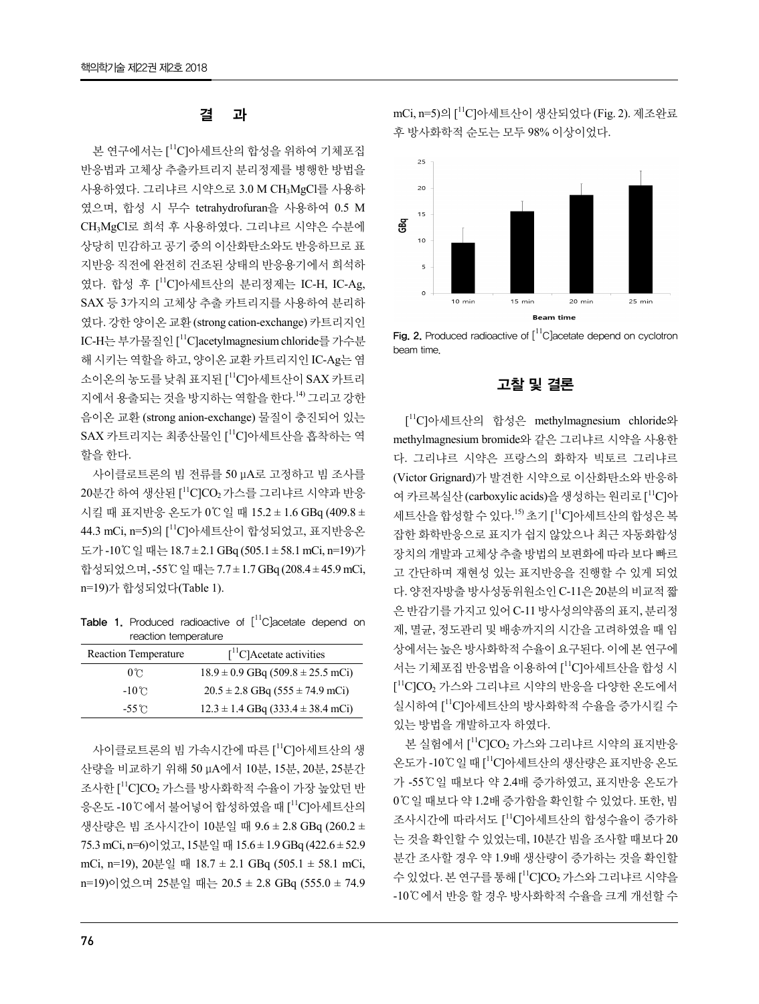본 연구에서는 ['<sup>l'</sup>C]아세트산의 합성을 위하여 기체포집 반응법과 고체상 추출카트리지 분리정제를 병행한 방법을 사용하였다. 그리냐르 시약으로 3.0 M CH3MgCl를 사용하 였으며, 합성 시 무수 tetrahydrofuran을 사용하여 0.5 M CH3MgCl로 희석 후 사용하였다. 그리냐르 시약은 수분에 상당히 민감하고 공기 중의 이산화탄소와도 반응하므로 표 지반응 직전에 완전히 건조된 상태의 반응용기에서 희석하 였다. 합성 후 [ <sup>11</sup>C]아세트산의 분리정제는 IC-H, IC-Ag, SAX 등 3가지의 고체상 추출 카트리지를 사용하여 분리하 였다. 강한 양이온 교환 (strong cation-exchange) 카트리지인 IC-H는부가물질인 [<sup>11</sup>C]acetylmagnesium chloride를 가수분 hig. 2. Produced radioactive of [ 해 시키는 역할을 하고, 양이온 교환 카트리지인 IC-Ag는 염 소이온의 농도를 낮춰 표지된 [''C]아세트산이 SAX 카트리 지에서 용출되는 것을 방지하는 역할을 한다.14) 그리고 강한 음이온 교환 (strong anion-exchange) 물질이 충진되어 있는 SAX 카트리지는 최종산물인 [<sup>11</sup>C]아세트산을 흡착하는 역 <sub>methvlmagnesium bromide와 z</sub> 할을 한다.

사이클로트론의 빔 전류를 50 μA로 고정하고 빔 조사를 20분간 하여 생산된 [<sup>11</sup>C]CO2 가스를 그리냐르 시약과 반응 여 카르복싴사 (carboxylic acid 시킬 때 표지반응 온도가 0℃일 때 15.2 ± 1.6 GBq (409.8 ± 44.3 mCi, n=5)의 [ <sup>11</sup>C]아세트산이 합성되었고, 표지반응온 도가 -10℃일 때는 18.7 ± 2.1 GBq (505.1 ± 58.1 mCi, n=19)가 합성되었으며, -55℃일 때는 7.7 ± 1.7 GBq (208.4 ± 45.9 mCi, n=19)가 합성되었다(Table 1).

Table 1. Produced radioactive of  $[{}^{11}C]$ acetate depend on reaction temperature

| <b>Reaction Temperature</b> | $\int$ <sup>11</sup> C]Acetate activities | 삿ㅇ                          |
|-----------------------------|-------------------------------------------|-----------------------------|
| $0^{\circ}$                 | $18.9 \pm 0.9$ GBq (509.8 $\pm$ 25.5 mCi) | 서는                          |
| $-10^{\circ}$ C             | $20.5 \pm 2.8$ GBq (555 $\pm$ 74.9 mCi)   | $\mathsf{L}^{11}\mathsf{C}$ |
| $-55^{\circ}$ C             | $12.3 \pm 1.4$ GBq (333.4 $\pm$ 38.4 mCi) | 실시                          |

사이클로트론의 빔 가속시간에 따른 [''C]아세트산의 생 <sup>폰 실엄에서</sup> l \_UJCU2 가스<del>\*</del> 산량을 비교하기 위해 50 μA에서 10분, 15분, 20분, 25분간 조사한 [ <sup>11</sup>C]CO<sup>2</sup> 가스를 방사화학적 수율이 가장 높았던 반 응온도 -10℃에서 불어넣어 합성하였을 때 [''C]아세트산의 <sup>∪ㄴ 일</sup> <sup>때</sup> 생산량은 빔 조사시간이 10분일 때 9.6 ± 2.8 GBq (260.2 ± 75.3 mCi, n=6)이었고, 15분일 때 15.6 ± 1.9 GBq (422.6 ± 52.9 mCi, n=19), 20분일 때 18.7 ± 2.1 GBq (505.1 ± 58.1 mCi, n=19)이었으며 25분일 때는 20.5 ± 2.8 GBq (555.0 ± 74.9

결 과 mCi, n=5)의 [ <sup>11</sup>C]아세트산이 생산되었다 (Fig. 2). 제조완료 후 방사화학적 순도는 모두 98% 이상이었다.



Fig. 2. Produced radioactive of  $\left[ {}^{11}C\right]$ acetate depend on cyclotron beam time.

# 고찰 및 결론

[ <sup>11</sup>C]아세트산의 합성은 methylmagnesium chloride와 methylmagnesium bromide와 같은 그리냐르 시약을 사용한 다. 그리냐르 시약은 프랑스의 화학자 빅토르 그리냐르 (Victor Grignard)가 발견한 시약으로 이산화탄소와 반응하 여 카르복실산 (carboxylic acids)을 생성하는 원리로 [<sup>11</sup>C]아 세트산을 합성할 수 있다.<sup>15)</sup> 초기 [<sup>11</sup>C]아세트산의 합성은 복 잡한 화학반응으로 표지가 쉽지 않았으나 최근 자동화합성 장치의 개발과 고체상 추출 방법의 보편화에 따라 보다 빠르 고 간단하며 재현성 있는 표지반응을 진행할 수 있게 되었 다. 양전자방출 방사성동위원소인 C-11은 20분의 비교적 짧 은 반감기를 가지고 있어 C-11 방사성의약품의 표지, 분리정 제, 멸균, 정도관리 및 배송까지의 시간을 고려하였을 때 임 상에서는 높은 방사화학적 수율이 요구된다. 이에 본 연구에 서는 기체포집 반응법을 이용하여 [<sup>11</sup>C]아세트산을 합성 시 [ <sup>11</sup>C]CO<sup>2</sup> 가스와 그리냐르 시약의 반응을 다양한 온도에서 실시하여 [ <sup>11</sup>C]아세트산의 방사화학적 수율을 증가시킬 수 있는 방법을 개발하고자 하였다.

본 실험에서 [''CJCO2 가스와 그리냐르 시약의 표지반응 온도가 -10℃일 때 [ <sup>11</sup>C]아세트산의 생산량은 표지반응 온도 가 -55℃일 때보다 약 2.4배 증가하였고, 표지반응 온도가 0℃일 때보다 약 1.2배 증가함을 확인할 수 있었다. 또한, 빔 조사시간에 따라서도 [ <sup>11</sup>C]아세트산의 합성수율이 증가하 는 것을 확인할 수 있었는데, 10분간 빔을 조사할 때보다 20 분간 조사할 경우 약 1.9배 생산량이 증가하는 것을 확인할 수 있었다. 본 연구를 통해 ['<sup>I</sup>CJCO<sub>2</sub> 가스와 그리냐르 시약을 -10℃에서 반응 할 경우 방사화학적 수율을 크게 개선할 수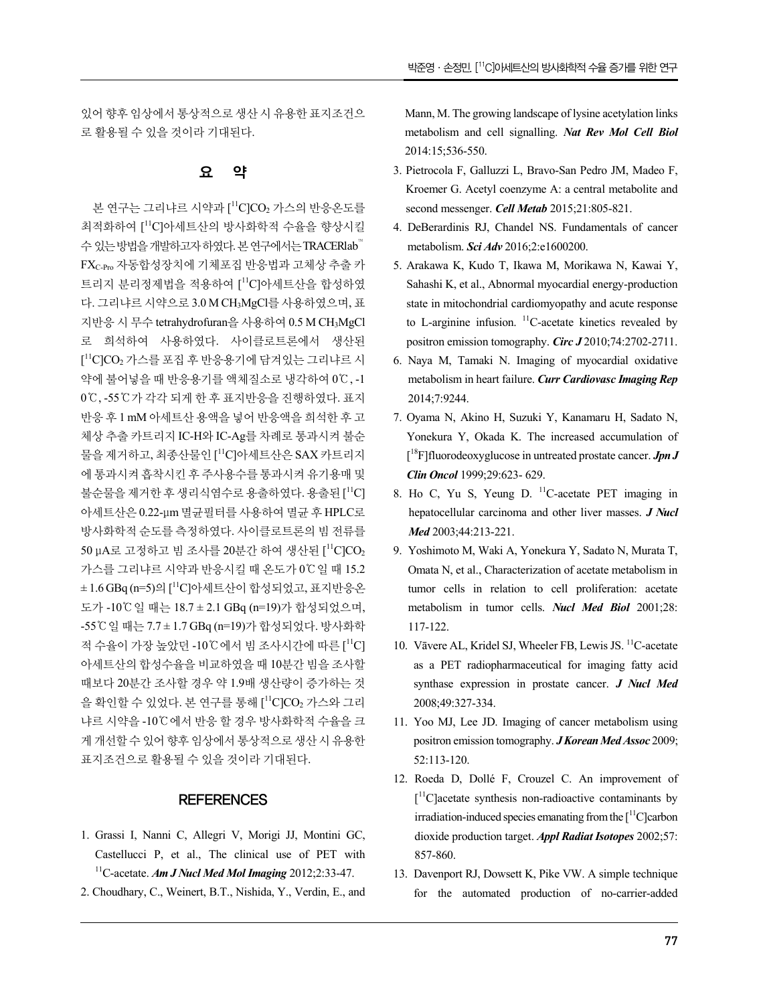있어 향후 임상에서 통상적으로 생산 시 유용한 표지조건으 로 활용될 수 있을 것이라 기대된다.

### 요 약

본 연구는 그리냐르 시약과 ['<sup>1</sup>C]CO<sub>2</sub> 가스의 반응온도를 secono 최적화하여 [ <sup>11</sup>C]아세트산의 방사화학적 수율을 향상시킬 수 있는 방법을 개발하고자 하였다. 본 연구에서는 TRACERlab™ FXC-Pro 자동합성장치에 기체포집 반응법과 고체상 추출 카 트리지 분리정제법을 적용하여 [ <sup>11</sup>C]아세트산을 합성하였 다. 그리냐르 시약으로 3.0 M CH3MgCl를 사용하였으며, 표 지반응 시 무수 tetrahydrofuran을 사용하여 0.5 M CH3MgCl 로 희석하여 사용하였다. 사이클로트론에서 생산된 [<sup>11</sup>C]CO<sub>2</sub> 가스를 포집 후 반응용기에 담겨있는 그리냐르 시 \_\_\_\_ 6. Naya M, Tamaki N. Imag 약에 불어넣을 때 반응용기를 액체질소로 냉각하여 0℃, -1 0℃, -55℃가 각각 되게 한 후 표지반응을 진행하였다. 표지 반응 후 1 mM 아세트산 용액을 넣어 반응액을 희석한 후 고 체상 추출 카트리지 IC-H와 IC-Ag를 차례로 통과시켜 불순 물을 제거하고, 최종산물인 [<sup>11</sup>C]아세트산은 SAX 카트리지 [<sup>18</sup>F]fluorodeoxyglucose in u 에 통과시켜 흡착시킨 후 주사용수를 통과시켜 유기용매 및 불순물을 제거한 후 생리식염수로 용출하였다. 용출된 [11C] 아세트산은 0.22-μm 멸균필터를 사용하여 멸균 후 HPLC로 방사화학적 순도를 측정하였다. 사이클로트론의 빔 전류를 50 μA로 고정하고 빔 조사를 20분간 하여 생산된 [<sup>11</sup>C]CO<sub>2</sub> 가스를 그리냐르 시약과 반응시킬 때 온도가 0℃일 때 15.2 ± 1.6 GBq (n=5)의 [ <sup>11</sup>C]아세트산이 합성되었고, 표지반응온 도가 -10℃일 때는 18.7 ± 2.1 GBq (n=19)가 합성되었으며, -55℃일 때는 7.7 ± 1.7 GBq (n=19)가 합성되었다. 방사화학 적 수율이 가장 높았던 -10℃에서 빔 조사시간에 따른 [ 아세트산의 합성수율을 비교하였을 때 10분간 빔을 조사할 때보다 20분간 조사할 경우 약 1.9배 생산량이 증가하는 것 을 확인할 수 있었다. 본 연구를 통해 [<sup>11</sup>C]CO<sub>2</sub> 가스와 그리 2008;49:327-334. 냐르 시약을 -10℃에서 반응 할 경우 방사화학적 수율을 크 게 개선할 수 있어 향후 임상에서 통상적으로 생산 시 유용한 표지조건으로 활용될 수 있을 것이라 기대된다.

### **REFERENCES**

- 1. Grassi I, Nanni C, Allegri V, Morigi JJ, Montini GC, Castellucci P, et al., The clinical use of PET with <sup>11</sup>C-acetate. *Am J Nucl Med Mol Imaging* 2012;2:33-47.
- 2. Choudhary, C., Weinert, B.T., Nishida, Y., Verdin, E., and

Mann, M. The growing landscape of lysine acetylation links metabolism and cell signalling. *Nat Rev Mol Cell Biol* 2014:15;536-550.

- 3. Pietrocola F, Galluzzi L, Bravo-San Pedro JM, Madeo F, Kroemer G. Acetyl coenzyme A: a central metabolite and second messenger. *Cell Metab* 2015;21:805-821.
- 4. DeBerardinis RJ, Chandel NS. Fundamentals of cancer metabolism. *Sci Adv* 2016;2:e1600200.
- 5. Arakawa K, Kudo T, Ikawa M, Morikawa N, Kawai Y, Sahashi K, et al., Abnormal myocardial energy-production state in mitochondrial cardiomyopathy and acute response to L-arginine infusion. <sup>11</sup>C-acetate kinetics revealed by positron emission tomography. *Circ J* 2010;74:2702-2711.
- 6. Naya M, Tamaki N. Imaging of myocardial oxidative metabolism in heart failure. *Curr Cardiovasc Imaging Rep* 2014;7:9244.
- 7. Oyama N, Akino H, Suzuki Y, Kanamaru H, Sadato N, Yonekura Y, Okada K. The increased accumulation of [ <sup>18</sup>F]fluorodeoxyglucose in untreated prostate cancer. *Jpn J Clin Oncol* 1999;29:623- 629.
- ${}^{11}$ C] 8. Ho C, Yu S, Yeung D.  ${}^{11}$ C-acetate PET imaging in hepatocellular carcinoma and other liver masses. *J Nucl Med* 2003;44:213-221.
	- 9. Yoshimoto M, Waki A, Yonekura Y, Sadato N, Murata T, Omata N, et al., Characterization of acetate metabolism in tumor cells in relation to cell proliferation: acetate metabolism in tumor cells. *Nucl Med Biol* 2001;28: 117-122.
- $11^1C$ ] 10. Vāvere AL, Kridel SJ, Wheeler FB, Lewis JS.  $11^1C$ -acetate as a PET radiopharmaceutical for imaging fatty acid synthase expression in prostate cancer. *J Nucl Med* 2008;49:327-334.
	- 11. Yoo MJ, Lee JD. Imaging of cancer metabolism using positron emission tomography. *J Korean Med Assoc* 2009; 52:113-120.
	- 12. Roeda D, Dollé F, Crouzel C. An improvement of [ <sup>11</sup>C]acetate synthesis non-radioactive contaminants by irradiation-induced species emanating from the  $\lceil \cdot \cdot \rceil$  C carbon dioxide production target. *Appl Radiat Isotopes* 2002;57: 857-860.
	- 13. Davenport RJ, Dowsett K, Pike VW. A simple technique for the automated production of no-carrier-added